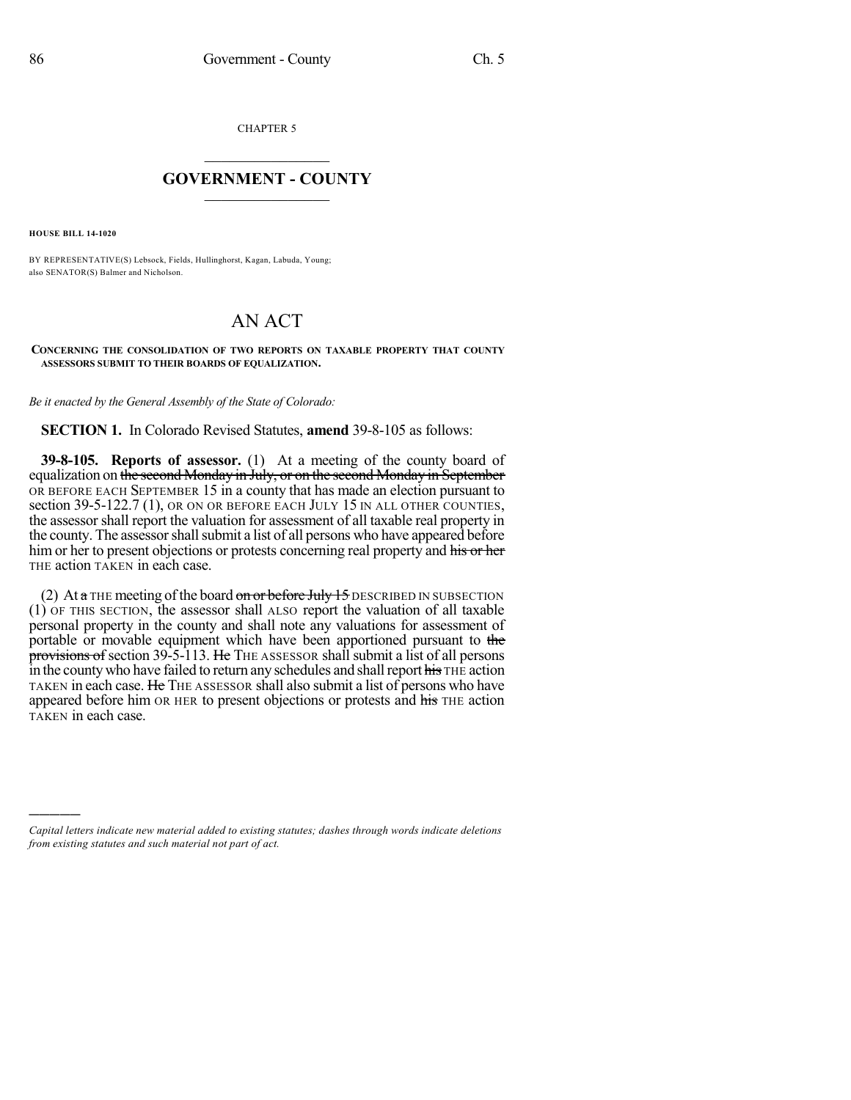CHAPTER 5

## $\mathcal{L}_\text{max}$  . The set of the set of the set of the set of the set of the set of the set of the set of the set of the set of the set of the set of the set of the set of the set of the set of the set of the set of the set **GOVERNMENT - COUNTY**  $\_$

**HOUSE BILL 14-1020**

)))))

BY REPRESENTATIVE(S) Lebsock, Fields, Hullinghorst, Kagan, Labuda, Young; also SENATOR(S) Balmer and Nicholson.

## AN ACT

**CONCERNING THE CONSOLIDATION OF TWO REPORTS ON TAXABLE PROPERTY THAT COUNTY ASSESSORS SUBMIT TO THEIR BOARDS OF EQUALIZATION.**

*Be it enacted by the General Assembly of the State of Colorado:*

**SECTION 1.** In Colorado Revised Statutes, **amend** 39-8-105 as follows:

**39-8-105. Reports of assessor.** (1) At a meeting of the county board of equalization on the second Monday in July, or on the second Monday in September OR BEFORE EACH SEPTEMBER 15 in a county that has made an election pursuant to section 39-5-122.7 (1), OR ON OR BEFORE EACH JULY 15 IN ALL OTHER COUNTIES, the assessor shall report the valuation for assessment of all taxable real property in the county. The assessor shall submit a list of all persons who have appeared before him or her to present objections or protests concerning real property and his or her THE action TAKEN in each case.

(2) At  $a$  THE meeting of the board on or before July 15 DESCRIBED IN SUBSECTION (1) OF THIS SECTION, the assessor shall ALSO report the valuation of all taxable personal property in the county and shall note any valuations for assessment of portable or movable equipment which have been apportioned pursuant to the provisions of section 39-5-113. He THE ASSESSOR shall submit a list of all persons in the county who have failed to return any schedules and shall report his THE action TAKEN in each case. He THE ASSESSOR shall also submit a list of persons who have appeared before him OR HER to present objections or protests and his THE action TAKEN in each case.

*Capital letters indicate new material added to existing statutes; dashes through words indicate deletions from existing statutes and such material not part of act.*